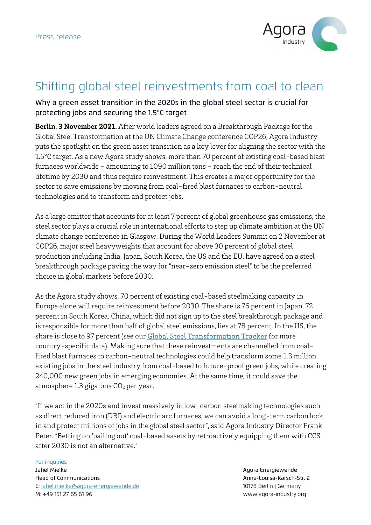

## Shifting global steel reinvestments from coal to clean

Why a green asset transition in the 2020s in the global steel sector is crucial for protecting jobs and securing the 1.5°C target

**Berlin, 3 November 2021.** After world leaders agreed on a Breakthrough Package for the Global Steel Transformation at the UN Climate Change conference COP26, Agora Industry puts the spotlight on the green asset transition as a key lever for aligning the sector with the 1.5°C target. As a new Agora study shows, more than 70 percent of existing coal-based blast furnaces worldwide – amounting to 1090 million tons – reach the end of their technical lifetime by 2030 and thus require reinvestment. This creates a major opportunity for the sector to save emissions by moving from coal-fired blast furnaces to carbon-neutral technologies and to transform and protect jobs.

As a large emitter that accounts for at least 7 percent of global greenhouse gas emissions, the steel sector plays a crucial role in international efforts to step up climate ambition at the UN climate change conference in Glasgow. During the World Leaders Summit on 2 November at COP26, major steel heavyweights that account for above 30 percent of global steel production including India, Japan, South Korea, the US and the EU, have agreed on a steel breakthrough package paving the way for "near-zero emission steel" to be the preferred choice in global markets before 2030.

As the Agora study shows, 70 percent of existing coal-based steelmaking capacity in Europe alone will require reinvestment before 2030. The share is 76 percent in Japan, 72 percent in South Korea. China, which did not sign up to the steel breakthrough package and is responsible for more than half of global steel emissions, lies at 78 percent. In the US, the share is close to 97 percent (see our **Global Steel Transformation Tracker** for more country-specific data). Making sure that these reinvestments are channelled from coalfired blast furnaces to carbon-neutral technologies could help transform some 1.3 million existing jobs in the steel industry from coal-based to future-proof green jobs, while creating 240,000 new green jobs in emerging economies. At the same time, it could save the atmosphere 1.3 gigatons  $CO<sub>2</sub>$  per year.

"If we act in the 2020s and invest massively in low-carbon steelmaking technologies such as direct reduced iron (DRI) and electric arc furnaces, we can avoid a long-term carbon lock in and protect millions of jobs in the global steel sector", said Agora Industry Director Frank Peter. "Betting on 'bailing out' coal-based assets by retroactively equipping them with CCS after 2030 is not an alternative."

## For inquiries Jahel Mielke Agora Energiewende Head of Communications Anna-Louisa-Karsch-Str. 2 E: jahel.mielke@agora-energiewende.de 10178 Berlin | Germany M: +49 151 27 65 61 96 www.agora-industry.org